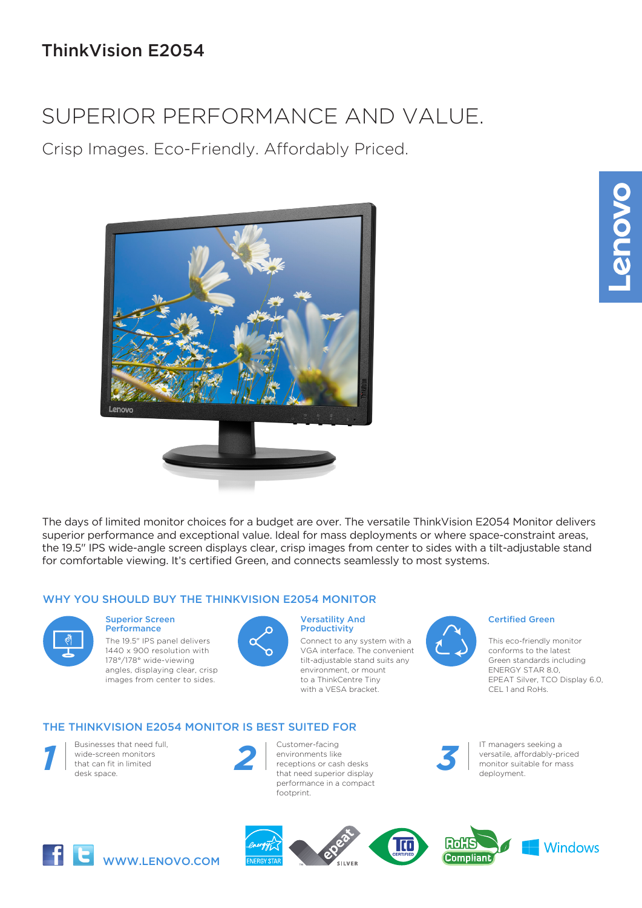# ThinkVision E2054

# SUPERIOR PERFORMANCE AND VALUE.

Crisp Images. Eco-Friendly. Affordably Priced.



The days of limited monitor choices for a budget are over. The versatile ThinkVision E2054 Monitor delivers superior performance and exceptional value. Ideal for mass deployments or where space-constraint areas, the 19.5" IPS wide-angle screen displays clear, crisp images from center to sides with a tilt-adjustable stand for comfortable viewing. It's certified Green, and connects seamlessly to most systems.

### WHY YOU SHOULD BUY THE THINKVISION E2054 MONITOR



#### Superior Screen **Performance**

The 19.5" IPS panel delivers 1440 x 900 resolution with 178°/178° wide-viewing angles, displaying clear, crisp images from center to sides.



#### Versatility And **Productivity**

Connect to any system with a VGA interface. The convenient tilt-adjustable stand suits any environment, or mount to a ThinkCentre Tiny with a VESA bracket.

### THE THINKVISION E2054 MONITOR IS BEST SUITED FOR



Businesses that need full, Businesses that need that<br>
wide-screen monitors<br>
that can fit in limited<br>
desk space. desk space.



Customer-facing environments like receptions or cash desks that need superior display performance in a compact footprint. Particular Customer-facing<br>
Particular contract in the manager seeking a<br>
receptions or cash desks<br>
that need superior display<br>
that need superior display<br>
Particular contract in the desk of the managers seeking a<br>
deploym



### Certified Green

This eco-friendly monitor conforms to the latest Green standards including ENERGY STAR 8.0, EPEAT Silver, TCO Display 6.0, CEL 1 and RoHs.



versatile, affordably-priced monitor suitable for mass *3* deployment.